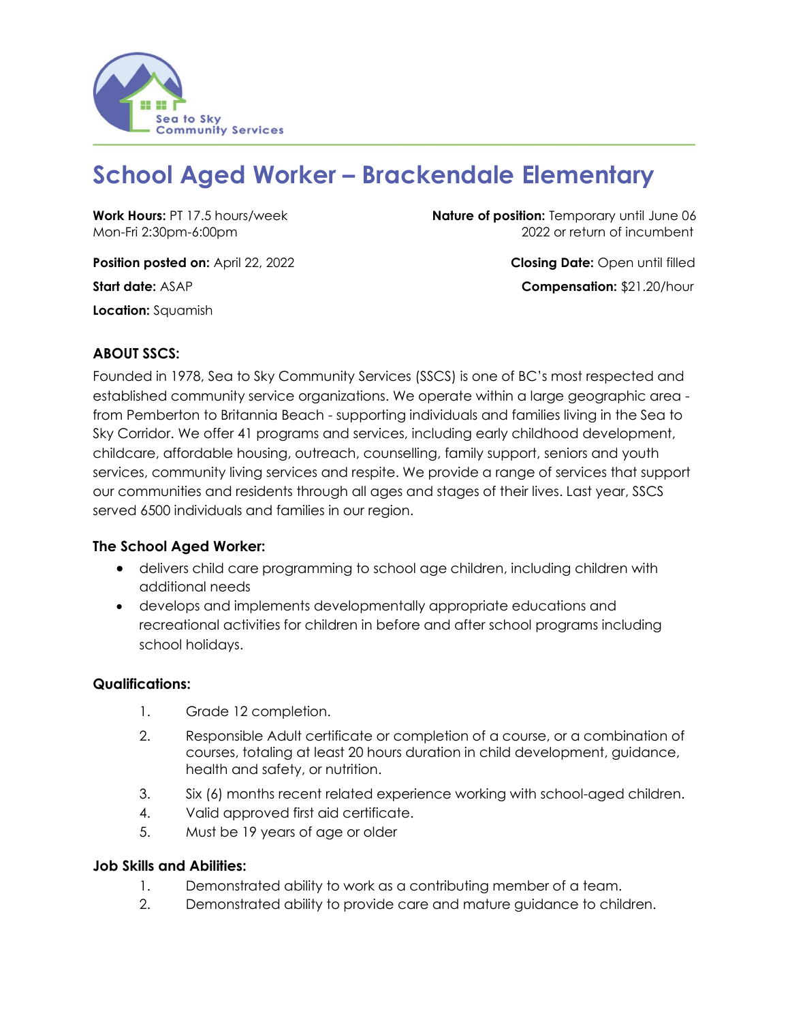

# **School Aged Worker – Brackendale Elementary**

**Position posted on:** April 22, 2022 **Closing Date:** Open until filled **Start date:** ASAP **Compensation: \$21.20/hour Location:** Squamish

**Work Hours: PT 17.5 hours/week <b>Nature of position:** Temporary until June 06 Mon-Fri 2:30pm-6:00pm2022 or return of incumbent

## **ABOUT SSCS:**

Founded in 1978, Sea to Sky Community Services (SSCS) is one of BC's most respected and established community service organizations. We operate within a large geographic area from Pemberton to Britannia Beach - supporting individuals and families living in the Sea to Sky Corridor. We offer 41 programs and services, including early childhood development, childcare, affordable housing, outreach, counselling, family support, seniors and youth services, community living services and respite. We provide a range of services that support our communities and residents through all ages and stages of their lives. Last year, SSCS served 6500 individuals and families in our region.

## **The School Aged Worker:**

- delivers child care programming to school age children, including children with additional needs
- develops and implements developmentally appropriate educations and recreational activities for children in before and after school programs including school holidays.

#### **Qualifications:**

- 1. Grade 12 completion.
- 2. Responsible Adult certificate or completion of a course, or a combination of courses, totaling at least 20 hours duration in child development, guidance, health and safety, or nutrition.
- 3. Six (6) months recent related experience working with school-aged children.
- 4. Valid approved first aid certificate.
- 5. Must be 19 years of age or older

#### **Job Skills and Abilities:**

- 1. Demonstrated ability to work as a contributing member of a team.
- 2. Demonstrated ability to provide care and mature guidance to children.